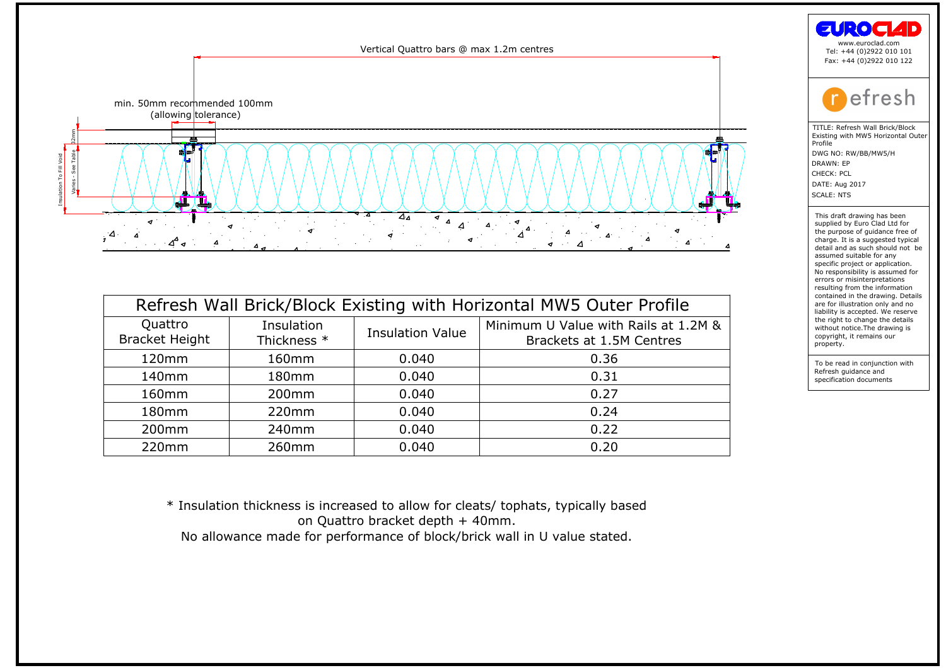

| Quattro<br><b>Bracket Height</b> | Insulation           | <b>Insulation Value</b> | Refresh Wall Brick/Block Existing with Horizontal MW5 Outer Profile<br>Minimum U Value with Rails at 1.2M & |
|----------------------------------|----------------------|-------------------------|-------------------------------------------------------------------------------------------------------------|
| 120mm                            | Thickness *<br>160mm | 0.040                   | Brackets at 1.5M Centres<br>0.36                                                                            |
| 140mm                            | 180mm                | 0.040                   | 0.31                                                                                                        |
| 160 <sub>mm</sub>                | 200 <sub>mm</sub>    | 0.040                   | 0.27                                                                                                        |
| 180 <sub>mm</sub>                | 220mm                | 0.040                   | 0.24                                                                                                        |
| 200 <sub>mm</sub>                | 240 <sub>mm</sub>    | 0.040                   | 0.22                                                                                                        |
| 220 <sub>mm</sub>                | 260mm                | 0.040                   | 0.20                                                                                                        |
|                                  |                      |                         |                                                                                                             |
|                                  |                      |                         |                                                                                                             |

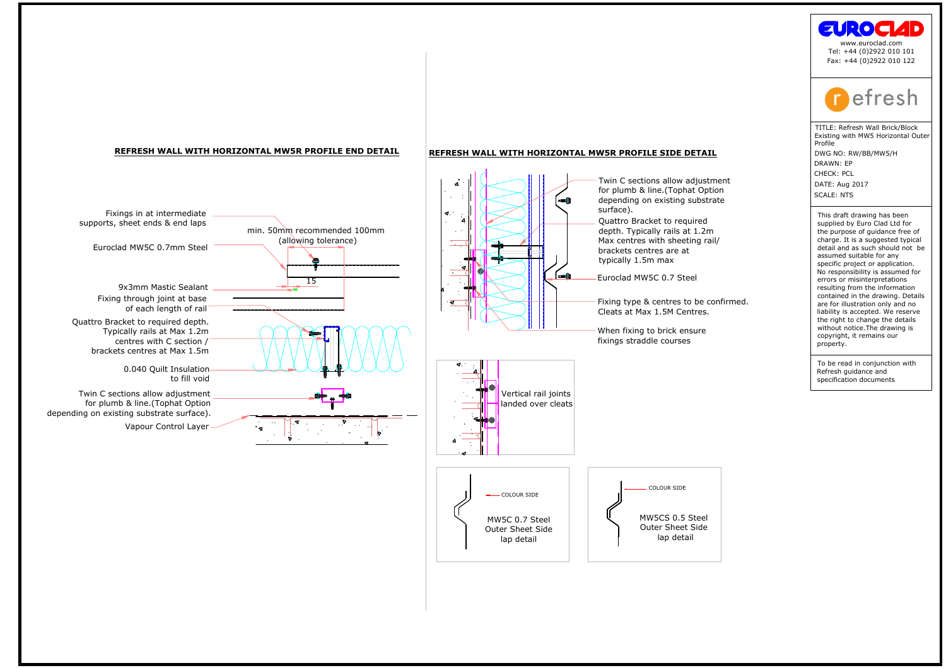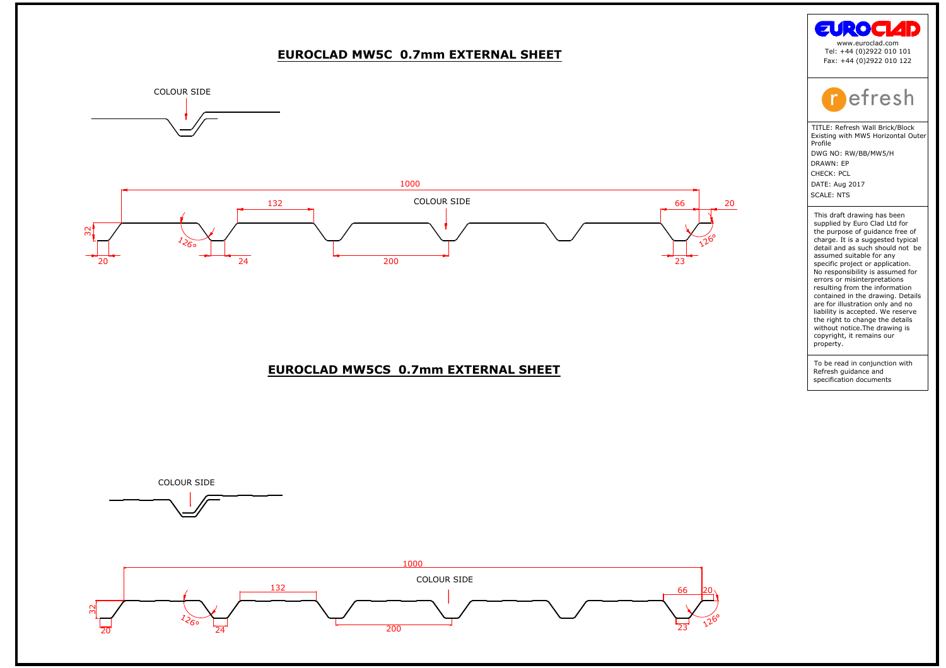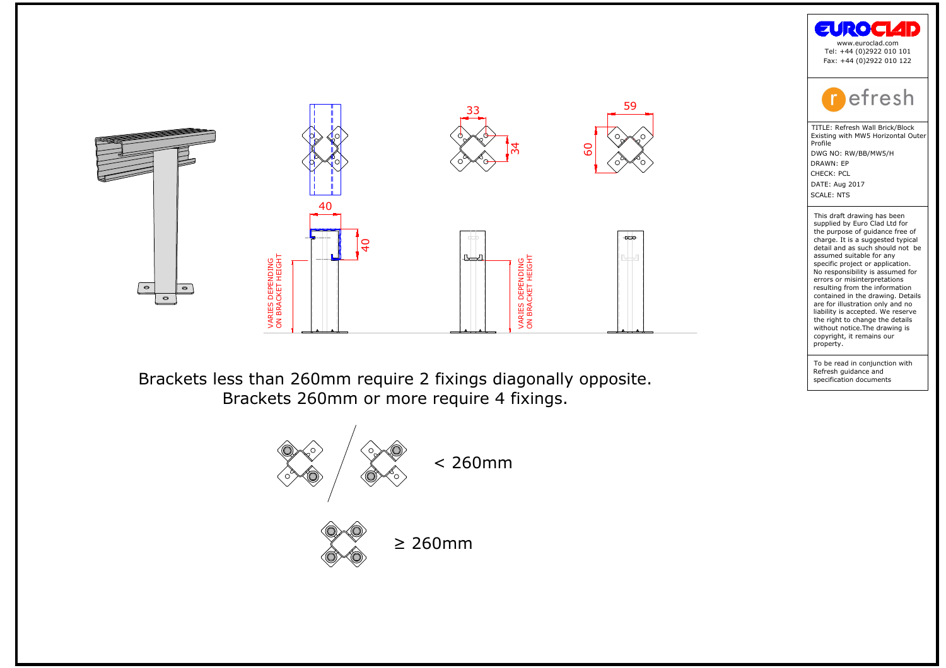